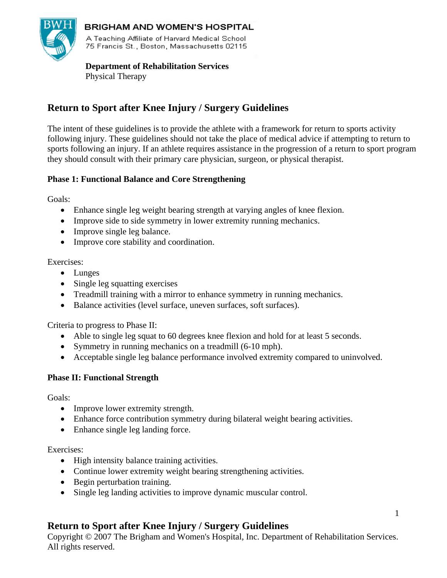

### **BRIGHAM AND WOMEN'S HOSPITAL**

A Teaching Affiliate of Harvard Medical School 75 Francis St., Boston, Massachusetts 02115

### **Department of Rehabilitation Services**

Physical Therapy

# **Return to Sport after Knee Injury / Surgery Guidelines**

The intent of these guidelines is to provide the athlete with a framework for return to sports activity following injury. These guidelines should not take the place of medical advice if attempting to return to sports following an injury. If an athlete requires assistance in the progression of a return to sport program they should consult with their primary care physician, surgeon, or physical therapist.

### **Phase 1: Functional Balance and Core Strengthening**

Goals:

- Enhance single leg weight bearing strength at varying angles of knee flexion.
- Improve side to side symmetry in lower extremity running mechanics.
- Improve single leg balance.
- Improve core stability and coordination.

### Exercises:

- Lunges
- Single leg squatting exercises
- Treadmill training with a mirror to enhance symmetry in running mechanics.
- Balance activities (level surface, uneven surfaces, soft surfaces).

Criteria to progress to Phase II:

- Able to single leg squat to 60 degrees knee flexion and hold for at least 5 seconds.
- Symmetry in running mechanics on a treadmill (6-10 mph).
- Acceptable single leg balance performance involved extremity compared to uninvolved.

## **Phase II: Functional Strength**

Goals:

- Improve lower extremity strength.
- Enhance force contribution symmetry during bilateral weight bearing activities.
- Enhance single leg landing force.

#### Exercises:

- High intensity balance training activities.
- Continue lower extremity weight bearing strengthening activities.
- Begin perturbation training.
- Single leg landing activities to improve dynamic muscular control.

## **Return to Sport after Knee Injury / Surgery Guidelines**

Copyright © 2007 The Brigham and Women's Hospital, Inc. Department of Rehabilitation Services. All rights reserved.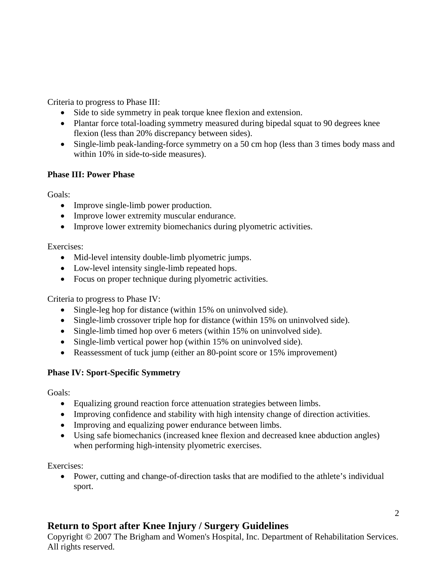Criteria to progress to Phase III:

- Side to side symmetry in peak torque knee flexion and extension.
- Plantar force total-loading symmetry measured during bipedal squat to 90 degrees knee flexion (less than 20% discrepancy between sides).
- Single-limb peak-landing-force symmetry on a 50 cm hop (less than 3 times body mass and within 10% in side-to-side measures).

## **Phase III: Power Phase**

Goals:

- Improve single-limb power production.
- Improve lower extremity muscular endurance.
- Improve lower extremity biomechanics during plyometric activities.

Exercises:

- Mid-level intensity double-limb plyometric jumps.
- Low-level intensity single-limb repeated hops.
- Focus on proper technique during plyometric activities.

Criteria to progress to Phase IV:

- Single-leg hop for distance (within 15% on uninvolved side).
- Single-limb crossover triple hop for distance (within 15% on uninvolved side).
- Single-limb timed hop over 6 meters (within 15% on uninvolved side).
- Single-limb vertical power hop (within 15% on uninvolved side).
- Reassessment of tuck jump (either an 80-point score or 15% improvement)

## **Phase IV: Sport-Specific Symmetry**

Goals:

- Equalizing ground reaction force attenuation strategies between limbs.
- Improving confidence and stability with high intensity change of direction activities.
- Improving and equalizing power endurance between limbs.
- Using safe biomechanics (increased knee flexion and decreased knee abduction angles) when performing high-intensity plyometric exercises.

Exercises:

• Power, cutting and change-of-direction tasks that are modified to the athlete's individual sport.

# **Return to Sport after Knee Injury / Surgery Guidelines**

Copyright © 2007 The Brigham and Women's Hospital, Inc. Department of Rehabilitation Services. All rights reserved.